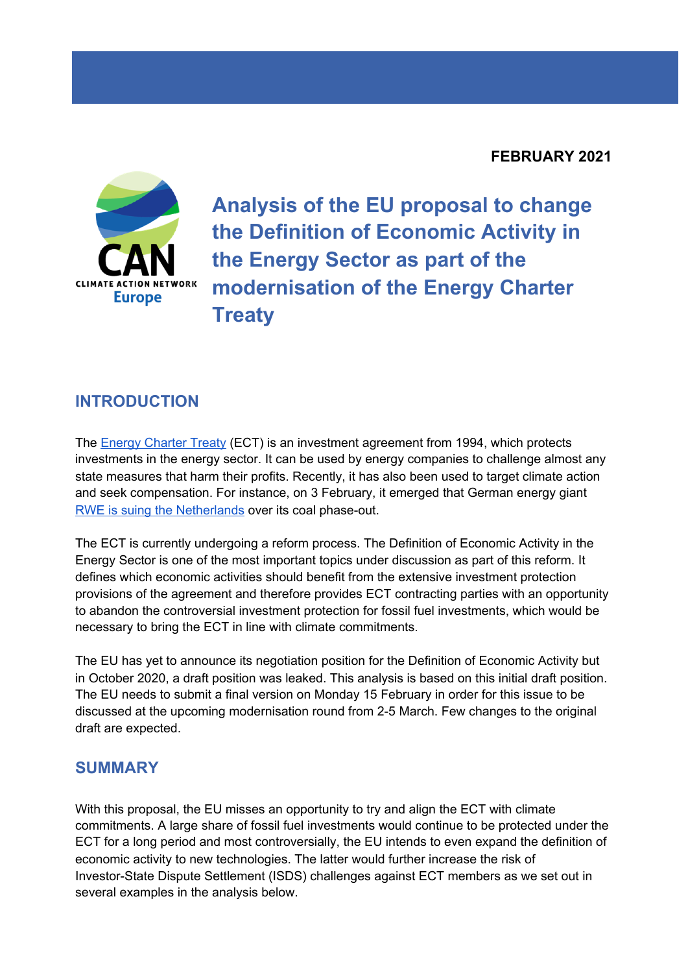## **FEBRUARY 2021**



**Analysis of the EU proposal to change the Definition of Economic Activity in the Energy Sector as part of the modernisation of the Energy Charter Treaty**

## **INTRODUCTION**

The Energy [Charter](https://caneurope.org/content/uploads/2020/11/Policy-briefing-on-the-Energy-Charter-Treaty-ECT.pdf) Treaty (ECT) is an investment agreement from 1994, which protects investments in the energy sector. It can be used by energy companies to challenge almost any state measures that harm their profits. Recently, it has also been used to target climate action and seek compensation. For instance, on 3 February, it emerged that German energy giant RWE is suing the [Netherlands](https://caneurope.org/german-energy-rwe-energy-charter-treaty-claims-netherlands/) over its coal phase-out.

The ECT is currently undergoing a reform process. The Definition of Economic Activity in the Energy Sector is one of the most important topics under discussion as part of this reform. It defines which economic activities should benefit from the extensive investment protection provisions of the agreement and therefore provides ECT contracting parties with an opportunity to abandon the controversial investment protection for fossil fuel investments, which would be necessary to bring the ECT in line with climate commitments.

The EU has yet to announce its negotiation position for the Definition of Economic Activity but in October 2020, a draft position was leaked. This analysis is based on this initial draft position. The EU needs to submit a final version on Monday 15 February in order for this issue to be discussed at the upcoming modernisation round from 2-5 March. Few changes to the original draft are expected.

## **SUMMARY**

With this proposal, the EU misses an opportunity to try and align the ECT with climate commitments. A large share of fossil fuel investments would continue to be protected under the ECT for a long period and most controversially, the EU intends to even expand the definition of economic activity to new technologies. The latter would further increase the risk of Investor-State Dispute Settlement (ISDS) challenges against ECT members as we set out in several examples in the analysis below.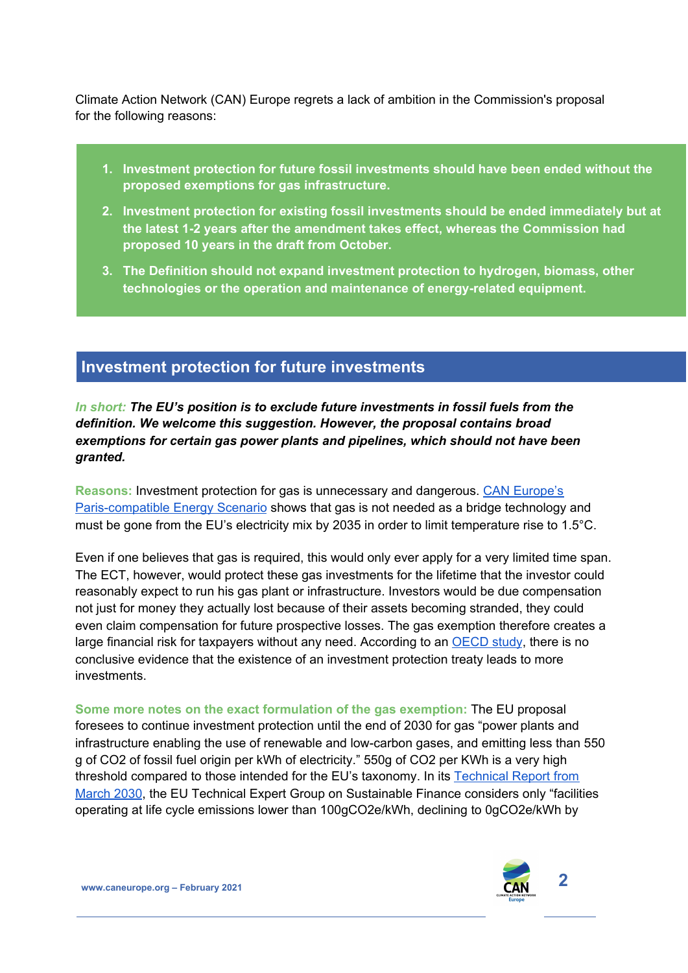Climate Action Network (CAN) Europe regrets a lack of ambition in the Commission's proposal for the following reasons:

- **1. Investment protection for future fossil investments should have been ended without the proposed exemptions for gas infrastructure.**
- **2. Investment protection for existing fossil investments should be ended immediately but at the latest 1-2 years after the amendment takes effect, whereas the Commission had proposed 10 years in the draft from October.**
- **3. The Definition should not expand investment protection to hydrogen, biomass, other technologies or the operation and maintenance of energy-related equipment.**

# **Investment protection for future investments**

*In short: The EU's position is to exclude future investments in fossil fuels from the definition. We welcome this suggestion. However, the proposal contains broad exemptions for certain gas power plants and pipelines, which should not have been granted.*

**Reasons:** Investment protection for gas is unnecessary and dangerous. CAN [Europe's](https://www.pac-scenarios.eu/) [Paris-compatible](https://www.pac-scenarios.eu/) Energy Scenario shows that gas is not needed as a bridge technology and must be gone from the EU's electricity mix by 2035 in order to limit temperature rise to 1.5°C.

Even if one believes that gas is required, this would only ever apply for a very limited time span. The ECT, however, would protect these gas investments for the lifetime that the investor could reasonably expect to run his gas plant or infrastructure. Investors would be due compensation not just for money they actually lost because of their assets becoming stranded, they could even claim compensation for future prospective losses. The gas exemption therefore creates a large financial risk for taxpayers without any need. According to an  $\overline{OECD}$  $\overline{OECD}$  $\overline{OECD}$  study, there is no conclusive evidence that the existence of an investment protection treaty leads to more investments.

**Some more notes on the exact formulation of the gas exemption:** The EU proposal foresees to continue investment protection until the end of 2030 for gas "power plants and infrastructure enabling the use of renewable and low-carbon gases, and emitting less than 550 g of CO2 of fossil fuel origin per kWh of electricity." 550g of CO2 per KWh is a very high threshold compared to those intended for the EU's taxonomy. In its [Technical](https://ec.europa.eu/info/sites/info/files/business_economy_euro/banking_and_finance/documents/200309-sustainable-finance-teg-final-report-taxonomy-annexes_en.pdf) Report from [March](https://ec.europa.eu/info/sites/info/files/business_economy_euro/banking_and_finance/documents/200309-sustainable-finance-teg-final-report-taxonomy-annexes_en.pdf) 2030, the EU Technical Expert Group on Sustainable Finance considers only "facilities operating at life cycle emissions lower than 100gCO2e/kWh, declining to 0gCO2e/kWh by

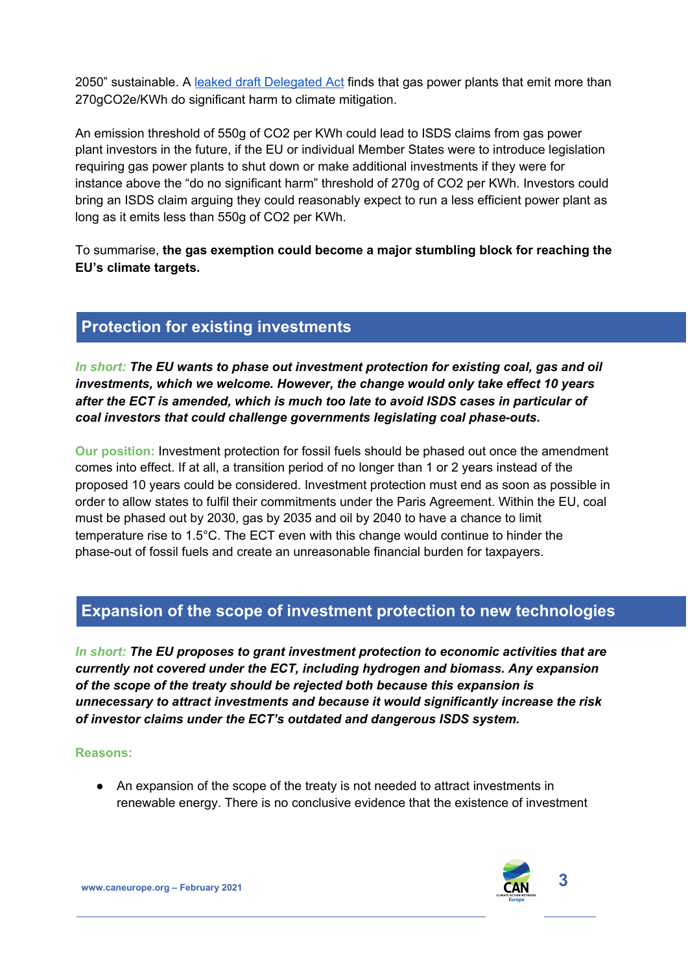2050" sustainable. A leaked draft [Delegated](https://www.politico.eu/wp-content/uploads/2020/10/Draft-Taxonomy-DA1.pdf) Act finds that gas power plants that emit more than 270gCO2e/KWh do significant harm to climate mitigation.

An emission threshold of 550g of CO2 per KWh could lead to ISDS claims from gas power plant investors in the future, if the EU or individual Member States were to introduce legislation requiring gas power plants to shut down or make additional investments if they were for instance above the "do no significant harm" threshold of 270g of CO2 per KWh. Investors could bring an ISDS claim arguing they could reasonably expect to run a less efficient power plant as long as it emits less than 550g of CO2 per KWh.

To summarise, **the gas exemption could become a major stumbling block for reaching the EU's climate targets.**

# **Protection for existing investments**

*In short: The EU wants to phase out investment protection for existing coal, gas and oil investments, which we welcome. However, the change would only take effect 10 years after the ECT is amended, which is much too late to avoid ISDS cases in particular of coal investors that could challenge governments legislating coal phase-outs.*

**Our position:** Investment protection for fossil fuels should be phased out once the amendment comes into effect. If at all, a transition period of no longer than 1 or 2 years instead of the proposed 10 years could be considered. Investment protection must end as soon as possible in order to allow states to fulfil their commitments under the Paris Agreement. Within the EU, coal must be phased out by 2030, gas by 2035 and oil by 2040 to have a chance to limit temperature rise to 1.5°C. The ECT even with this change would continue to hinder the phase-out of fossil fuels and create an unreasonable financial burden for taxpayers.

# **Expansion of the scope of investment protection to new technologies**

*In short: The EU proposes to grant investment protection to economic activities that are currently not covered under the ECT, including hydrogen and biomass. Any expansion of the scope of the treaty should be rejected both because this expansion is unnecessary to attract investments and because it would significantly increase the risk of investor claims under the ECT's outdated and dangerous ISDS system.*

#### **Reasons:**

● An expansion of the scope of the treaty is not needed to attract investments in renewable energy. There is no conclusive evidence that the existence of investment



**www.caneurope.org – February <sup>2021</sup> 3**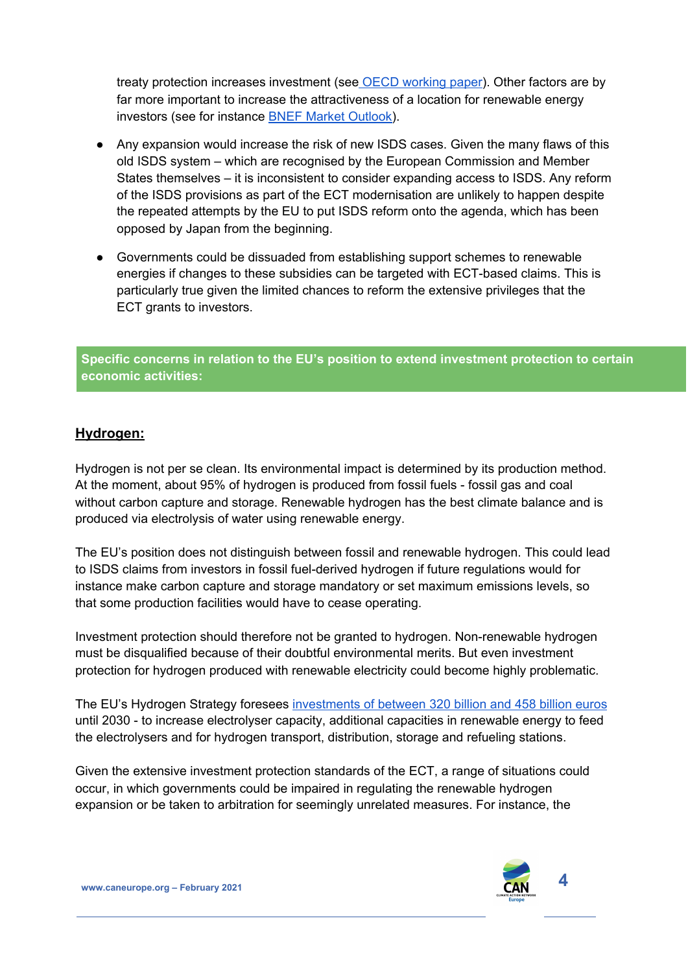treaty protection increases investment (see OECD [working](https://read.oecd-ilibrary.org/finance-and-investment/societal-benefits-and-costs-of-international-investment-agreements_e5f85c3d-en#page1) paper). Other factors are by far more important to increase the attractiveness of a location for renewable energy investors (see for instance BNEF Market [Outlook\)](http://global-climatescope.org/assets/data/reports/climatescope-2019-report-en.pdf).

- Any expansion would increase the risk of new ISDS cases. Given the many flaws of this old ISDS system – which are recognised by the European Commission and Member States themselves – it is inconsistent to consider expanding access to ISDS. Any reform of the ISDS provisions as part of the ECT modernisation are unlikely to happen despite the repeated attempts by the EU to put ISDS reform onto the agenda, which has been opposed by Japan from the beginning.
- Governments could be dissuaded from establishing support schemes to renewable energies if changes to these subsidies can be targeted with ECT-based claims. This is particularly true given the limited chances to reform the extensive privileges that the ECT grants to investors.

**Specific concerns in relation to the EU's position to extend investment protection to certain economic activities:**

## **Hydrogen:**

Hydrogen is not per se clean. Its environmental impact is determined by its production method. At the moment, about 95% of hydrogen is produced from fossil fuels - fossil gas and coal without carbon capture and storage. Renewable hydrogen has the best climate balance and is produced via electrolysis of water using renewable energy.

The EU's position does not distinguish between fossil and renewable hydrogen. This could lead to ISDS claims from investors in fossil fuel-derived hydrogen if future regulations would for instance make carbon capture and storage mandatory or set maximum emissions levels, so that some production facilities would have to cease operating.

Investment protection should therefore not be granted to hydrogen. Non-renewable hydrogen must be disqualified because of their doubtful environmental merits. But even investment protection for hydrogen produced with renewable electricity could become highly problematic.

The EU's Hydrogen Strategy foresees [investments](https://about.bnef.com/blog/liebreich-separating-hype-from-hydrogen-part-one-the-supply-side/) of between 320 billion and 458 billion euros until 2030 - to increase electrolyser capacity, additional capacities in renewable energy to feed the electrolysers and for hydrogen transport, distribution, storage and refueling stations.

Given the extensive investment protection standards of the ECT, a range of situations could occur, in which governments could be impaired in regulating the renewable hydrogen expansion or be taken to arbitration for seemingly unrelated measures. For instance, the

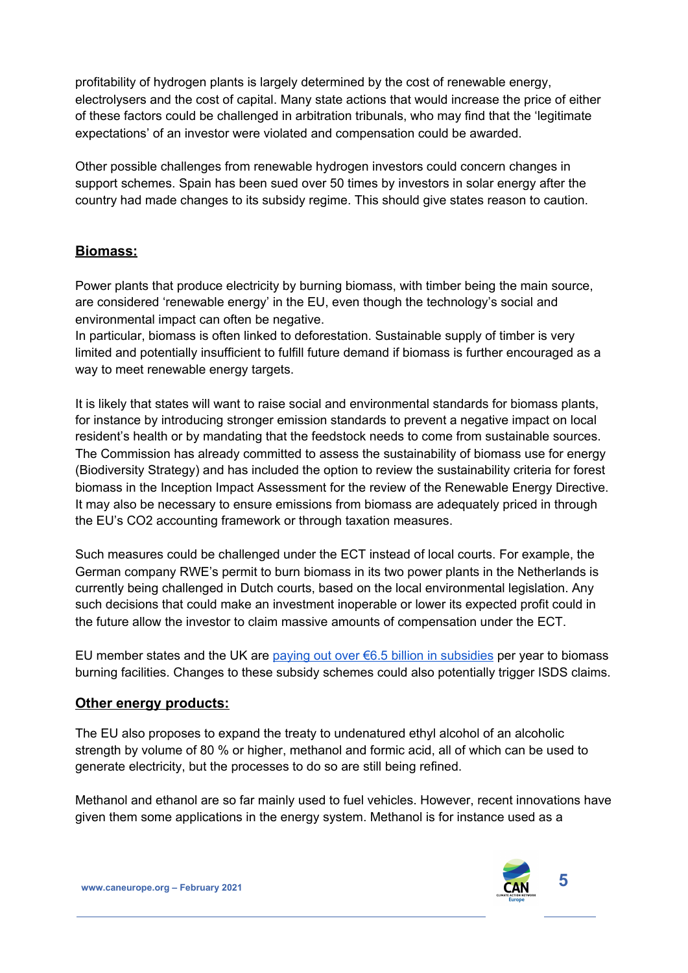profitability of hydrogen plants is largely determined by the cost of renewable energy, electrolysers and the cost of capital. Many state actions that would increase the price of either of these factors could be challenged in arbitration tribunals, who may find that the 'legitimate expectations' of an investor were violated and compensation could be awarded.

Other possible challenges from renewable hydrogen investors could concern changes in support schemes. Spain has been sued over 50 times by investors in solar energy after the country had made changes to its subsidy regime. This should give states reason to caution.

## **Biomass:**

Power plants that produce electricity by burning biomass, with timber being the main source, are considered 'renewable energy' in the EU, even though the technology's social and environmental impact can often be negative.

In particular, biomass is often linked to deforestation. Sustainable supply of timber is very limited and potentially insufficient to fulfill future demand if biomass is further encouraged as a way to meet renewable energy targets.

It is likely that states will want to raise social and environmental standards for biomass plants, for instance by introducing stronger emission standards to prevent a negative impact on local resident's health or by mandating that the feedstock needs to come from sustainable sources. The Commission has already committed to assess the sustainability of biomass use for energy (Biodiversity Strategy) and has included the option to review the sustainability criteria for forest biomass in the Inception Impact Assessment for the review of the Renewable Energy Directive. It may also be necessary to ensure emissions from biomass are adequately priced in through the EU's CO2 accounting framework or through taxation measures.

Such measures could be challenged under the ECT instead of local courts. For example, the German company RWE's permit to burn biomass in its two power plants in the Netherlands is currently being challenged in Dutch courts, based on the local environmental legislation. Any such decisions that could make an investment inoperable or lower its expected profit could in the future allow the investor to claim massive amounts of compensation under the ECT.

EU member states and the UK are paying out over  $6.5$  billion in [subsidies](http://trinomics.eu/wp-content/uploads/2019/11/Trinomics-EU-biomass-subsidies-final-report-28nov2019.pdf) per year to biomass burning facilities. Changes to these subsidy schemes could also potentially trigger ISDS claims.

### **Other energy products:**

The EU also proposes to expand the treaty to undenatured ethyl alcohol of an alcoholic strength by volume of 80 % or higher, methanol and formic acid, all of which can be used to generate electricity, but the processes to do so are still being refined.

Methanol and ethanol are so far mainly used to fuel vehicles. However, recent innovations have given them some applications in the energy system. Methanol is for instance used as a